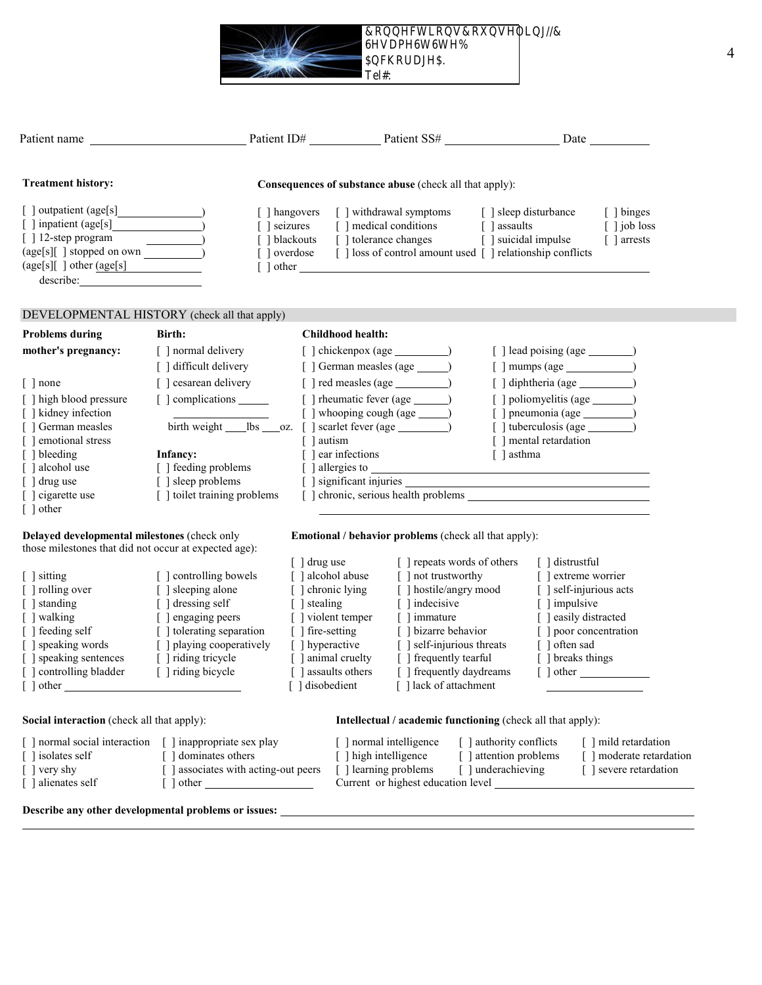**Connections Counseling, LLC**

 **Sesame St, Ste B Anchorage, A.** 

Tel#:

| <b>Treatment history:</b>                                                                                                                     | Consequences of substance abuse (check all that apply):                           |                            |                          |                                                                                                                                                                                                                                          |                         |                                                         |  |  |
|-----------------------------------------------------------------------------------------------------------------------------------------------|-----------------------------------------------------------------------------------|----------------------------|--------------------------|------------------------------------------------------------------------------------------------------------------------------------------------------------------------------------------------------------------------------------------|-------------------------|---------------------------------------------------------|--|--|
| [] outpatient (age[s]<br>[ ] inpatient (age[s]<br>$\lceil$ 12-step program<br>$(age[s][ ] stopped on own ______)$<br>(age[s][ ] other (age[s] | [ ] hangovers<br>$\lceil$ seizures                                                | $\lceil$ $\rceil$ overdose |                          | [ ] withdrawal symptoms<br>$\left[\phantom{a}\right]$ medical conditions $\qquad \left[\phantom{a}\right]$ assaults<br>[] blackouts [] tolerance changes [] suicidal impulse<br>[] loss of control amount used [] relationship conflicts | [ ] sleep disturbance   | [ ] binges<br>$\lceil$ $\rceil$ job loss<br>[ ] arrests |  |  |
| DEVELOPMENTAL HISTORY (check all that apply)                                                                                                  |                                                                                   |                            |                          |                                                                                                                                                                                                                                          |                         |                                                         |  |  |
| <b>Problems during</b>                                                                                                                        | Birth:                                                                            |                            | <b>Childhood health:</b> |                                                                                                                                                                                                                                          |                         |                                                         |  |  |
| mother's pregnancy:                                                                                                                           | [ ] normal delivery                                                               |                            |                          |                                                                                                                                                                                                                                          |                         |                                                         |  |  |
|                                                                                                                                               | [] difficult delivery                                                             |                            |                          | [ ] German measles (age ________)                                                                                                                                                                                                        |                         | $[ ]$ mumps (age $\qquad \qquad$                        |  |  |
| $\lceil$   none                                                                                                                               | [] cesarean delivery                                                              |                            |                          | $\lceil$   red measles (age $\_\_$ )                                                                                                                                                                                                     |                         |                                                         |  |  |
| [ ] high blood pressure<br>[ ] kidney infection                                                                                               | [ ] complications ______<br>[ ] whooping cough (age _______)                      |                            |                          |                                                                                                                                                                                                                                          |                         |                                                         |  |  |
| [ ] German measles                                                                                                                            | birth weight ______ lbs _____ oz. [ ] scarlet fever (age ________________________ |                            |                          |                                                                                                                                                                                                                                          |                         |                                                         |  |  |
| [ ] emotional stress                                                                                                                          |                                                                                   | [ ] autism                 |                          |                                                                                                                                                                                                                                          |                         | [ ] mental retardation                                  |  |  |
| [ ] bleeding                                                                                                                                  | Infancy:                                                                          |                            | [ ] ear infections       |                                                                                                                                                                                                                                          | [ ] asthma              |                                                         |  |  |
| [ ] alcohol use                                                                                                                               | [ ] feeding problems                                                              |                            |                          |                                                                                                                                                                                                                                          |                         |                                                         |  |  |
| [ ] drug use                                                                                                                                  | [ ] sleep problems                                                                |                            |                          |                                                                                                                                                                                                                                          |                         |                                                         |  |  |
| [ ] cigarette use<br>$\lceil \ \rceil$ other                                                                                                  | [ ] toilet training problems<br>[ ] chronic, serious health problems              |                            |                          |                                                                                                                                                                                                                                          |                         |                                                         |  |  |
|                                                                                                                                               |                                                                                   |                            |                          |                                                                                                                                                                                                                                          |                         |                                                         |  |  |
| Delayed developmental milestones (check only                                                                                                  |                                                                                   |                            |                          | Emotional / behavior problems (check all that apply):                                                                                                                                                                                    |                         |                                                         |  |  |
| those milestones that did not occur at expected age):                                                                                         |                                                                                   |                            |                          |                                                                                                                                                                                                                                          |                         |                                                         |  |  |
|                                                                                                                                               |                                                                                   | [ ] drug use               |                          | [ ] repeats words of others                                                                                                                                                                                                              |                         | $\lceil$ distrustful                                    |  |  |
| [ ] sitting<br>[ ] rolling over                                                                                                               | [ ] controlling bowels<br>[ ] sleeping alone                                      | [ ] chronic lying          | [ ] alcohol abuse        | $\lceil$ and trustworthy<br>[ ] hostile/angry mood                                                                                                                                                                                       |                         | [ ] extreme worrier<br>[ ] self-injurious acts          |  |  |
| [ ] standing                                                                                                                                  | [ ] dressing self                                                                 | [ ] stealing               |                          | $\lceil$   indecisive                                                                                                                                                                                                                    |                         | [ ] impulsive                                           |  |  |
| [ ] walking                                                                                                                                   | [ ] engaging peers                                                                |                            | [ ] violent temper       | [ ] immature                                                                                                                                                                                                                             |                         | [ ] easily distracted                                   |  |  |
| [ ] feeding self                                                                                                                              | [] tolerating separation                                                          | [ ] fire-setting           |                          | [ ] bizarre behavior                                                                                                                                                                                                                     |                         | [ ] poor concentration                                  |  |  |
| [ ] speaking words                                                                                                                            | [ ] playing cooperatively                                                         | [ ] hyperactive            |                          | [ ] self-injurious threats                                                                                                                                                                                                               |                         | [ ] often sad                                           |  |  |
| [ ] speaking sentences                                                                                                                        | [ ] riding tricycle                                                               |                            | [ ] animal cruelty       | [ ] frequently tearful                                                                                                                                                                                                                   |                         | [ ] breaks things                                       |  |  |
| [ ] controlling bladder                                                                                                                       | [ ] riding bicycle                                                                |                            | [ ] assaults others      | [ ] frequently daydreams                                                                                                                                                                                                                 |                         |                                                         |  |  |
| $\left[\begin{array}{c}\end{array}\right]$ other                                                                                              |                                                                                   | [ ] disobedient            |                          | [] lack of attachment                                                                                                                                                                                                                    |                         |                                                         |  |  |
| <b>Social interaction</b> (check all that apply):                                                                                             |                                                                                   |                            |                          | <b>Intellectual / academic functioning (check all that apply):</b>                                                                                                                                                                       |                         |                                                         |  |  |
| [ ] normal social interaction                                                                                                                 | [ ] inappropriate sex play                                                        |                            |                          | [ ] normal intelligence                                                                                                                                                                                                                  | [ ] authority conflicts | [ ] mild retardation                                    |  |  |
| [ ] isolates self                                                                                                                             | [ ] dominates others                                                              |                            | [ ] high intelligence    |                                                                                                                                                                                                                                          | [ ] attention problems  | [ ] moderate retardation                                |  |  |
| [ ] very shy                                                                                                                                  | [] associates with acting-out peers                                               |                            | [ ] learning problems    |                                                                                                                                                                                                                                          | [ ] underachieving      | [] severe retardation                                   |  |  |
| [ ] alienates self                                                                                                                            |                                                                                   |                            |                          | Current or highest education level                                                                                                                                                                                                       |                         |                                                         |  |  |
|                                                                                                                                               |                                                                                   |                            |                          |                                                                                                                                                                                                                                          |                         |                                                         |  |  |

**Describe any other developmental problems or issues:**